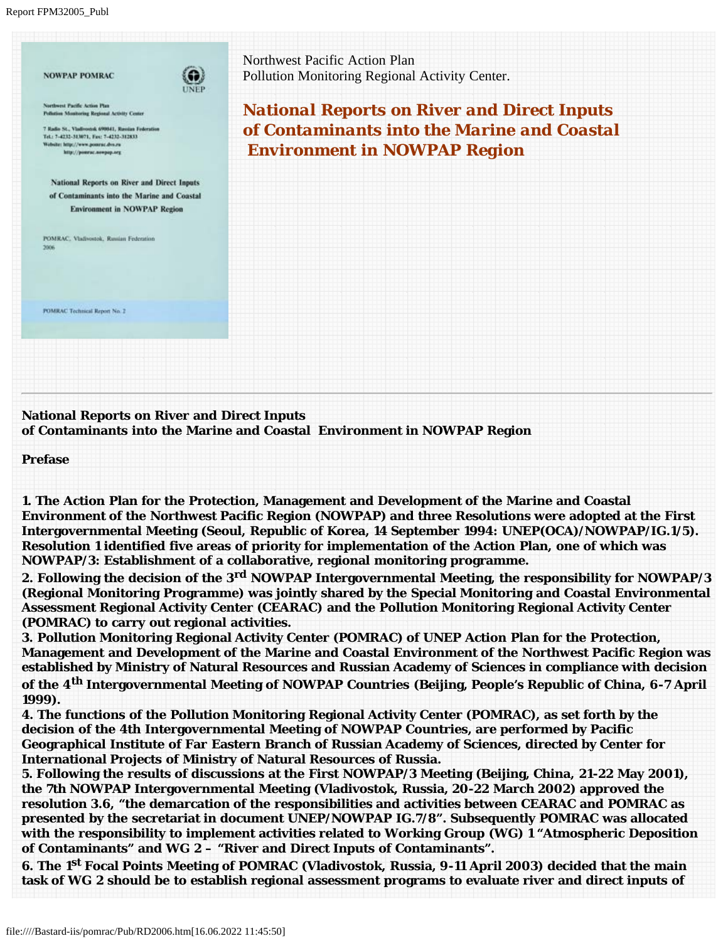Report FPM32005\_Publ

| <b>NOWPAP POMRAC</b><br><b>UNEP</b>                                                             | Northwest Pacific Action Plan<br>Pollution Monitoring Regional Activity Center. |
|-------------------------------------------------------------------------------------------------|---------------------------------------------------------------------------------|
| Northwest Pacific Action Plan<br>Pollution Monitoring Regional Activity Center                  | <b>National Reports on River and Direct Inputs</b>                              |
| 7 Radio St., Vladivostok 690841, Russian Federation<br>Tel.: 7-4232-313071, Fax: 7-4232-312833. | of Contaminants into the Marine and Coastal                                     |
| Website: http://www.poorse.dvo.ru<br>http://poerne.novpap.org                                   | <b>Environment in NOWPAP Region</b>                                             |
| National Reports on River and Direct Inputs                                                     |                                                                                 |
| of Contaminants into the Marine and Coastal<br><b>Environment in NOWPAP Region</b>              |                                                                                 |
|                                                                                                 |                                                                                 |
| POMRAC, Vladivostok, Russian Federation<br>2006                                                 |                                                                                 |
|                                                                                                 |                                                                                 |
|                                                                                                 |                                                                                 |
| <b>FOMRAC Technical Report No. 2</b>                                                            |                                                                                 |
|                                                                                                 |                                                                                 |
|                                                                                                 |                                                                                 |
|                                                                                                 |                                                                                 |

## **National Reports on River and Direct Inputs of Contaminants into the Marine and Coastal Environment in NOWPAP Region**

**Prefase**

**1. The Action Plan for the Protection, Management and Development of the Marine and Coastal Environment of the Northwest Pacific Region (NOWPAP) and three Resolutions were adopted at the First Intergovernmental Meeting (Seoul, Republic of Korea, 14 September 1994: UNEP(OCA)/NOWPAP/IG.1/5). Resolution 1 identified five areas of priority for implementation of the Action Plan, one of which was NOWPAP/3: Establishment of a collaborative, regional monitoring programme.**

**2. Following the decision of the 3rd NOWPAP Intergovernmental Meeting, the responsibility for NOWPAP/3 (Regional Monitoring Programme) was jointly shared by the Special Monitoring and Coastal Environmental Assessment Regional Activity Center (CEARAC) and the Pollution Monitoring Regional Activity Center (POMRAC) to carry out regional activities.** 

**3. Pollution Monitoring Regional Activity Center (POMRAC) of UNEP Action Plan for the Protection, Management and Development of the Marine and Coastal Environment of the Northwest Pacific Region was established by Ministry of Natural Resources and Russian Academy of Sciences in compliance with decision of the 4th Intergovernmental Meeting of NOWPAP Countries (Beijing, People's Republic of China, 6-7 April 1999).** 

**4. The functions of the Pollution Monitoring Regional Activity Center (POMRAC), as set forth by the decision of the 4th Intergovernmental Meeting of NOWPAP Countries, are performed by Pacific Geographical Institute of Far Eastern Branch of Russian Academy of Sciences, directed by Center for International Projects of Ministry of Natural Resources of Russia.**

**5. Following the results of discussions at the First NOWPAP/3 Meeting (Beijing, China, 21-22 May 2001), the 7th NOWPAP Intergovernmental Meeting (Vladivostok, Russia, 20-22 March 2002) approved the resolution 3.6, "the demarcation of the responsibilities and activities between CEARAC and POMRAC as presented by the secretariat in document UNEP/NOWPAP IG.7/8". Subsequently POMRAC was allocated with the responsibility to implement activities related to Working Group (WG) 1 "Atmospheric Deposition of Contaminants" and WG 2 – "River and Direct Inputs of Contaminants".** 

**6. The 1st Focal Points Meeting of POMRAC (Vladivostok, Russia, 9-11 April 2003) decided that the main task of WG 2 should be to establish regional assessment programs to evaluate river and direct inputs of**